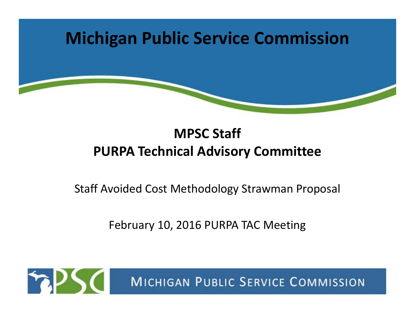

#### **MPSC Staff PURPA Technical Advisory Committee**

Staff Avoided Cost Methodology Strawman Proposal

February 10, 2016 PURPA TAC Meeting

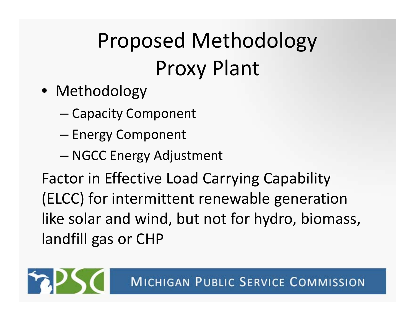# Proposed Methodology Proxy Plant

- Methodology
	- –— Capacity Component
	- –— Energy Component
	- NGCC Energy Adjustment

Factor in Effective Load Carrying Capability (ELCC) for intermittent renewable generation like solar and wind, but not for hydro, biomass, landfill gas or CHP

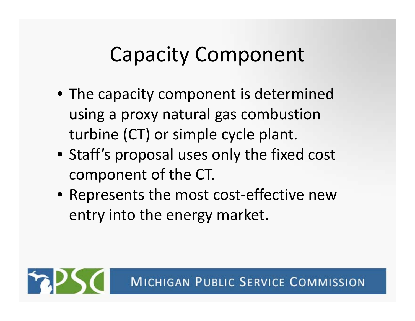### Capacity Component

- The capacity component is determined using <sup>a</sup> proxy natural gas combustion turbine (CT) or simple cycle plant.
- Staff's proposal uses only the fixed cost component of the CT.
- Represents the most cost‐effective new entry into the energy market.

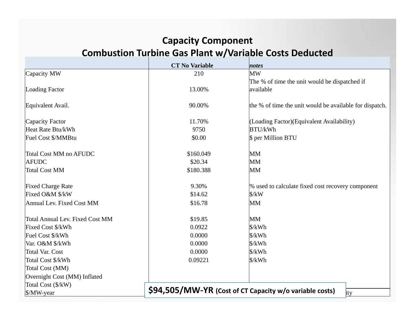#### **Capacity Component Combustion Turbine Gas Plant w/Variable Costs Deducted**

|                                 | <b>CT No Variable</b>                                          | notes                                                   |  |  |  |
|---------------------------------|----------------------------------------------------------------|---------------------------------------------------------|--|--|--|
| Capacity MW                     | 210                                                            | <b>MW</b>                                               |  |  |  |
|                                 |                                                                | The % of time the unit would be dispatched if           |  |  |  |
| Loading Factor                  | 13.00%                                                         | available                                               |  |  |  |
|                                 |                                                                |                                                         |  |  |  |
| Equivalent Avail.               | 90.00%                                                         | the % of time the unit would be available for dispatch. |  |  |  |
| Capacity Factor                 | 11.70%                                                         | (Loading Factor) (Equivalent Availability)              |  |  |  |
| Heat Rate Btu/kWh               | 9750                                                           | <b>BTU/kWh</b>                                          |  |  |  |
| Fuel Cost \$/MMBtu              | \$0.00                                                         | \$ per Million BTU                                      |  |  |  |
| Total Cost MM no AFUDC          | \$160.049                                                      | <b>MM</b>                                               |  |  |  |
| <b>AFUDC</b>                    | \$20.34                                                        | <b>MM</b>                                               |  |  |  |
| Total Cost MM                   | \$180.388                                                      | <b>MM</b>                                               |  |  |  |
| <b>Fixed Charge Rate</b>        | 9.30%                                                          | % used to calculate fixed cost recovery component       |  |  |  |
| Fixed O&M \$/kW                 | \$14.62                                                        | $\frac{\text{S}}{\text{K}}$                             |  |  |  |
| Annual Lev. Fixed Cost MM       | \$16.78                                                        | <b>MM</b>                                               |  |  |  |
|                                 |                                                                |                                                         |  |  |  |
| Total Annual Lev. Fixed Cost MM | \$19.85                                                        | <b>MM</b>                                               |  |  |  |
| Fixed Cost \$/kWh               | 0.0922                                                         | \$/kWh                                                  |  |  |  |
| Fuel Cost \$/kWh                | 0.0000                                                         | \$/kWh                                                  |  |  |  |
| Var. O&M \$/kWh                 | 0.0000                                                         | \$/kWh                                                  |  |  |  |
| Total Var. Cost                 | 0.0000                                                         | \$/kWh                                                  |  |  |  |
| Total Cost \$/kWh               | 0.09221                                                        | \$/kWh                                                  |  |  |  |
| Total Cost (MM)                 |                                                                |                                                         |  |  |  |
| Overnight Cost (MM) Inflated    |                                                                |                                                         |  |  |  |
| Total Cost (\$/kW)              |                                                                |                                                         |  |  |  |
| $\frac{S}{W\text{-year}}$       | \$94,505/MW-YR (Cost of CT Capacity w/o variable costs)<br>ity |                                                         |  |  |  |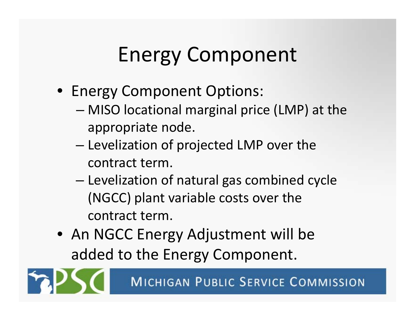## Energy Component

- Energy Component Options:
	- MISO locational marginal price (LMP) at the appropriate node.
	- – $-$  Levelization of projected LMP over the contract term.
	- – Levelization of natural gas combined cycle (NGCC) plant variable costs over the contract term.
- An NGCC Energy Adjustment will be added to the Energy Component.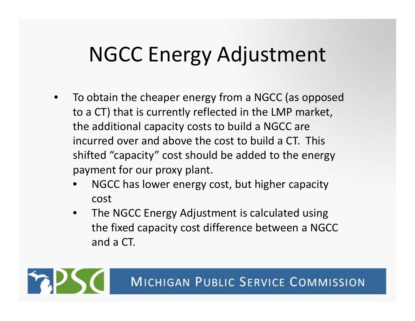### NGCC Energy Adjustment

- • To obtain the cheaper energy from <sup>a</sup> NGCC (as opposed to <sup>a</sup> CT) that is currently reflected in the LMP market, the additional capacity costs to build <sup>a</sup> NGCC are incurred over and above the cost to build <sup>a</sup> CT. This shifted "capacity" cost should be added to the energy payment for our proxy plant.
	- • NGCC has lower energy cost, but higher capacity cost
	- $\bullet$  The NGCC Energy Adjustment is calculated using the fixed capacity cost difference between <sup>a</sup> NGCC and a CT.

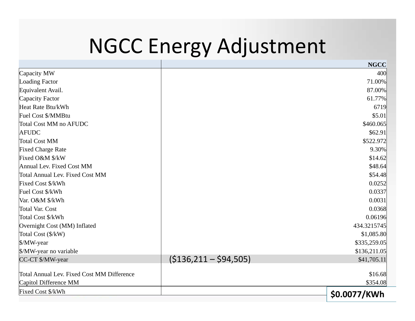### NGCC Energy Adjustment

|                                                   |                          | <b>NGCC</b>  |
|---------------------------------------------------|--------------------------|--------------|
| Capacity MW                                       |                          | 400          |
| <b>Loading Factor</b>                             |                          | 71.00%       |
| Equivalent Avail.                                 |                          | 87.00%       |
| Capacity Factor                                   |                          | 61.77%       |
| Heat Rate Btu/kWh                                 |                          | 6719         |
| Fuel Cost \$/MMBtu                                |                          | \$5.01       |
| <b>Total Cost MM no AFUDC</b>                     |                          | \$460.065    |
| <b>AFUDC</b>                                      |                          | \$62.91      |
| <b>Total Cost MM</b>                              |                          | \$522.972    |
| <b>Fixed Charge Rate</b>                          |                          | 9.30%        |
| Fixed O&M \$/kW                                   |                          | \$14.62      |
| Annual Lev. Fixed Cost MM                         |                          | \$48.64      |
| <b>Total Annual Lev. Fixed Cost MM</b>            |                          | \$54.48      |
| Fixed Cost \$/kWh                                 |                          | 0.0252       |
| Fuel Cost \$/kWh                                  |                          | 0.0337       |
| Var. O&M \$/kWh                                   |                          | 0.0031       |
| <b>Total Var. Cost</b>                            |                          | 0.0368       |
| Total Cost \$/kWh                                 |                          | 0.06196      |
| Overnight Cost (MM) Inflated                      |                          | 434.3215745  |
| Total Cost (\$/kW)                                |                          | \$1,085.80   |
| \$/MW-year                                        |                          | \$335,259.05 |
| \$/MW-year no variable                            |                          | \$136,211.05 |
| CC-CT \$/MW-year                                  | $(5136, 211 - 594, 505)$ | \$41,705.11  |
|                                                   |                          |              |
| <b>Total Annual Lev. Fixed Cost MM Difference</b> |                          | \$16.68      |
| Capitol Difference MM                             |                          | \$354.08     |
| Fixed Cost \$/kWh                                 |                          | \$0.0077/KWh |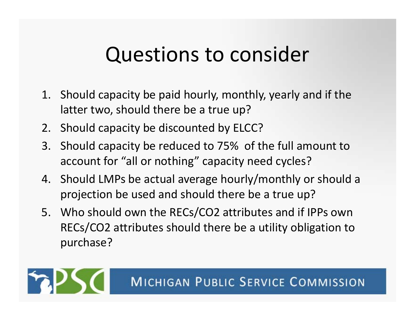#### Questions to consider

- 1. Should capacity be paid hourly, monthly, yearly and if the latter two, should there be <sup>a</sup> true up?
- 2. Should capacity be discounted by ELCC?
- 3. Should capacity be reduced to 75% of the full amount to account for "all or nothing" capacity need cycles?
- 4. Should LMPs be actual average hourly/monthly or should <sup>a</sup> projection be used and should there be <sup>a</sup> true up?
- 5. Who should own the RECs/CO2 attributes and if IPPs own RECs/CO2 attributes should there be <sup>a</sup> utility obligation to purchase?